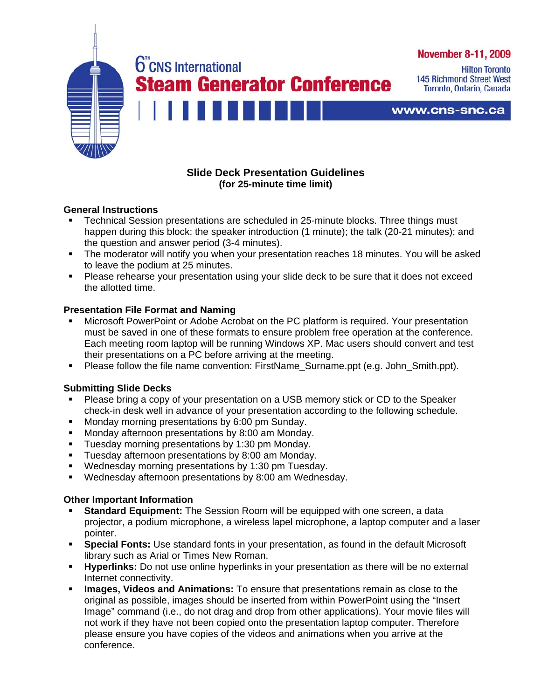

# **Slide Deck Presentation Guidelines (for 25-minute time limit)**

## **General Instructions**

- Technical Session presentations are scheduled in 25-minute blocks. Three things must happen during this block: the speaker introduction (1 minute); the talk (20-21 minutes); and the question and answer period (3-4 minutes).
- The moderator will notify you when your presentation reaches 18 minutes. You will be asked to leave the podium at 25 minutes.
- **Please rehearse your presentation using your slide deck to be sure that it does not exceed** the allotted time.

## **Presentation File Format and Naming**

- Microsoft PowerPoint or Adobe Acrobat on the PC platform is required. Your presentation must be saved in one of these formats to ensure problem free operation at the conference. Each meeting room laptop will be running Windows XP. Mac users should convert and test their presentations on a PC before arriving at the meeting.
- **Please follow the file name convention: FirstName Surname.ppt (e.g. John Smith.ppt).**

## **Submitting Slide Decks**

- Please bring a copy of your presentation on a USB memory stick or CD to the Speaker check-in desk well in advance of your presentation according to the following schedule.
- **Monday morning presentations by 6:00 pm Sunday.**
- **Monday afternoon presentations by 8:00 am Monday.**
- **Tuesday morning presentations by 1:30 pm Monday.**
- **Tuesday afternoon presentations by 8:00 am Monday.**
- **Wednesday morning presentations by 1:30 pm Tuesday.**
- Wednesday afternoon presentations by 8:00 am Wednesday.

### **Other Important Information**

- **Standard Equipment:** The Session Room will be equipped with one screen, a data projector, a podium microphone, a wireless lapel microphone, a laptop computer and a laser pointer.
- **Special Fonts:** Use standard fonts in your presentation, as found in the default Microsoft library such as Arial or Times New Roman.
- **Hyperlinks:** Do not use online hyperlinks in your presentation as there will be no external Internet connectivity.
- **Images, Videos and Animations:** To ensure that presentations remain as close to the original as possible, images should be inserted from within PowerPoint using the "Insert Image" command (i.e., do not drag and drop from other applications). Your movie files will not work if they have not been copied onto the presentation laptop computer. Therefore please ensure you have copies of the videos and animations when you arrive at the conference.